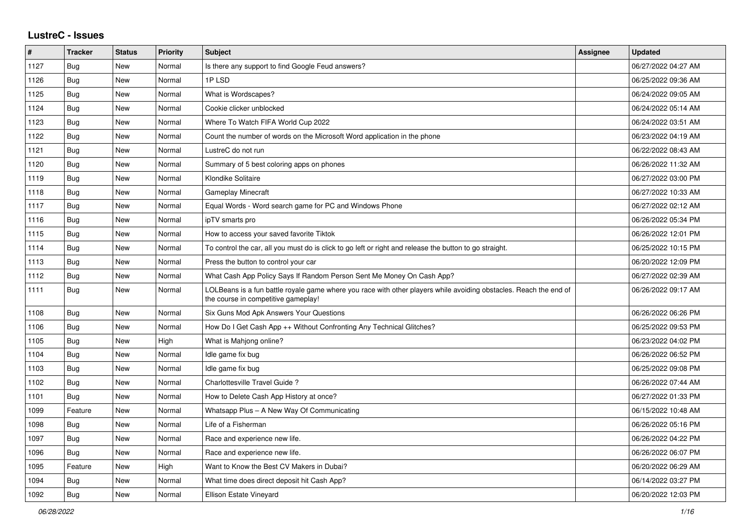## **LustreC - Issues**

| #    | <b>Tracker</b> | <b>Status</b> | <b>Priority</b> | <b>Subject</b>                                                                                                                                           | Assignee | <b>Updated</b>      |
|------|----------------|---------------|-----------------|----------------------------------------------------------------------------------------------------------------------------------------------------------|----------|---------------------|
| 1127 | Bug            | <b>New</b>    | Normal          | Is there any support to find Google Feud answers?                                                                                                        |          | 06/27/2022 04:27 AM |
| 1126 | Bug            | <b>New</b>    | Normal          | 1PLSD                                                                                                                                                    |          | 06/25/2022 09:36 AM |
| 1125 | <b>Bug</b>     | <b>New</b>    | Normal          | What is Wordscapes?                                                                                                                                      |          | 06/24/2022 09:05 AM |
| 1124 | <b>Bug</b>     | New           | Normal          | Cookie clicker unblocked                                                                                                                                 |          | 06/24/2022 05:14 AM |
| 1123 | <b>Bug</b>     | New           | Normal          | Where To Watch FIFA World Cup 2022                                                                                                                       |          | 06/24/2022 03:51 AM |
| 1122 | Bug            | <b>New</b>    | Normal          | Count the number of words on the Microsoft Word application in the phone                                                                                 |          | 06/23/2022 04:19 AM |
| 1121 | Bug            | New           | Normal          | LustreC do not run                                                                                                                                       |          | 06/22/2022 08:43 AM |
| 1120 | <b>Bug</b>     | New           | Normal          | Summary of 5 best coloring apps on phones                                                                                                                |          | 06/26/2022 11:32 AM |
| 1119 | Bug            | New           | Normal          | Klondike Solitaire                                                                                                                                       |          | 06/27/2022 03:00 PM |
| 1118 | Bug            | <b>New</b>    | Normal          | <b>Gameplay Minecraft</b>                                                                                                                                |          | 06/27/2022 10:33 AM |
| 1117 | Bug            | <b>New</b>    | Normal          | Equal Words - Word search game for PC and Windows Phone                                                                                                  |          | 06/27/2022 02:12 AM |
| 1116 | Bug            | <b>New</b>    | Normal          | ipTV smarts pro                                                                                                                                          |          | 06/26/2022 05:34 PM |
| 1115 | <b>Bug</b>     | New           | Normal          | How to access your saved favorite Tiktok                                                                                                                 |          | 06/26/2022 12:01 PM |
| 1114 | Bug            | <b>New</b>    | Normal          | To control the car, all you must do is click to go left or right and release the button to go straight.                                                  |          | 06/25/2022 10:15 PM |
| 1113 | <b>Bug</b>     | <b>New</b>    | Normal          | Press the button to control your car                                                                                                                     |          | 06/20/2022 12:09 PM |
| 1112 | Bug            | <b>New</b>    | Normal          | What Cash App Policy Says If Random Person Sent Me Money On Cash App?                                                                                    |          | 06/27/2022 02:39 AM |
| 1111 | Bug            | New           | Normal          | LOLBeans is a fun battle royale game where you race with other players while avoiding obstacles. Reach the end of<br>the course in competitive gameplay! |          | 06/26/2022 09:17 AM |
| 1108 | Bug            | <b>New</b>    | Normal          | Six Guns Mod Apk Answers Your Questions                                                                                                                  |          | 06/26/2022 06:26 PM |
| 1106 | <b>Bug</b>     | <b>New</b>    | Normal          | How Do I Get Cash App ++ Without Confronting Any Technical Glitches?                                                                                     |          | 06/25/2022 09:53 PM |
| 1105 | <b>Bug</b>     | New           | High            | What is Mahjong online?                                                                                                                                  |          | 06/23/2022 04:02 PM |
| 1104 | Bug            | New           | Normal          | Idle game fix bug                                                                                                                                        |          | 06/26/2022 06:52 PM |
| 1103 | Bug            | <b>New</b>    | Normal          | Idle game fix bug                                                                                                                                        |          | 06/25/2022 09:08 PM |
| 1102 | Bug            | <b>New</b>    | Normal          | Charlottesville Travel Guide?                                                                                                                            |          | 06/26/2022 07:44 AM |
| 1101 | Bug            | <b>New</b>    | Normal          | How to Delete Cash App History at once?                                                                                                                  |          | 06/27/2022 01:33 PM |
| 1099 | Feature        | <b>New</b>    | Normal          | Whatsapp Plus - A New Way Of Communicating                                                                                                               |          | 06/15/2022 10:48 AM |
| 1098 | <b>Bug</b>     | New           | Normal          | Life of a Fisherman                                                                                                                                      |          | 06/26/2022 05:16 PM |
| 1097 | Bug            | New           | Normal          | Race and experience new life.                                                                                                                            |          | 06/26/2022 04:22 PM |
| 1096 | Bug            | New           | Normal          | Race and experience new life.                                                                                                                            |          | 06/26/2022 06:07 PM |
| 1095 | Feature        | <b>New</b>    | High            | Want to Know the Best CV Makers in Dubai?                                                                                                                |          | 06/20/2022 06:29 AM |
| 1094 | Bug            | New           | Normal          | What time does direct deposit hit Cash App?                                                                                                              |          | 06/14/2022 03:27 PM |
| 1092 | Bug            | New           | Normal          | Ellison Estate Vineyard                                                                                                                                  |          | 06/20/2022 12:03 PM |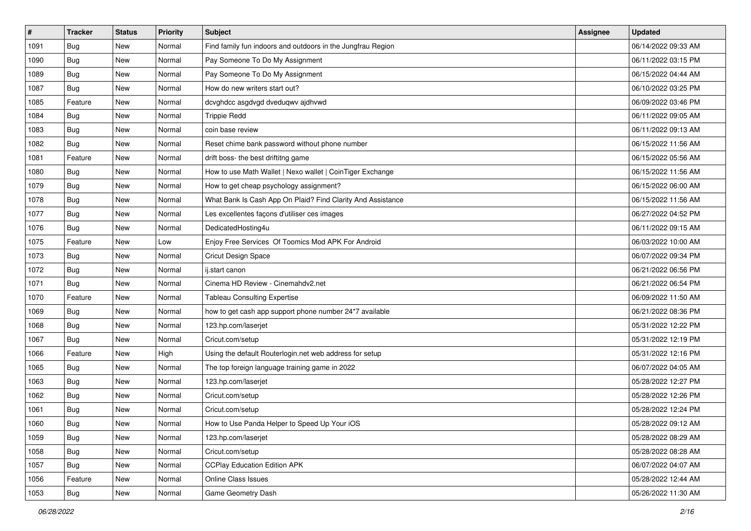| $\vert$ # | <b>Tracker</b> | <b>Status</b> | <b>Priority</b> | Subject                                                     | <b>Assignee</b> | <b>Updated</b>      |
|-----------|----------------|---------------|-----------------|-------------------------------------------------------------|-----------------|---------------------|
| 1091      | <b>Bug</b>     | New           | Normal          | Find family fun indoors and outdoors in the Jungfrau Region |                 | 06/14/2022 09:33 AM |
| 1090      | Bug            | New           | Normal          | Pay Someone To Do My Assignment                             |                 | 06/11/2022 03:15 PM |
| 1089      | Bug            | New           | Normal          | Pay Someone To Do My Assignment                             |                 | 06/15/2022 04:44 AM |
| 1087      | <b>Bug</b>     | New           | Normal          | How do new writers start out?                               |                 | 06/10/2022 03:25 PM |
| 1085      | Feature        | New           | Normal          | dcvghdcc asgdvgd dveduqwv ajdhvwd                           |                 | 06/09/2022 03:46 PM |
| 1084      | <b>Bug</b>     | New           | Normal          | <b>Trippie Redd</b>                                         |                 | 06/11/2022 09:05 AM |
| 1083      | <b>Bug</b>     | New           | Normal          | coin base review                                            |                 | 06/11/2022 09:13 AM |
| 1082      | Bug            | New           | Normal          | Reset chime bank password without phone number              |                 | 06/15/2022 11:56 AM |
| 1081      | Feature        | New           | Normal          | drift boss- the best driftitng game                         |                 | 06/15/2022 05:56 AM |
| 1080      | Bug            | New           | Normal          | How to use Math Wallet   Nexo wallet   CoinTiger Exchange   |                 | 06/15/2022 11:56 AM |
| 1079      | <b>Bug</b>     | New           | Normal          | How to get cheap psychology assignment?                     |                 | 06/15/2022 06:00 AM |
| 1078      | Bug            | New           | Normal          | What Bank Is Cash App On Plaid? Find Clarity And Assistance |                 | 06/15/2022 11:56 AM |
| 1077      | Bug            | New           | Normal          | Les excellentes façons d'utiliser ces images                |                 | 06/27/2022 04:52 PM |
| 1076      | Bug            | New           | Normal          | DedicatedHosting4u                                          |                 | 06/11/2022 09:15 AM |
| 1075      | Feature        | New           | Low             | Enjoy Free Services Of Toomics Mod APK For Android          |                 | 06/03/2022 10:00 AM |
| 1073      | <b>Bug</b>     | New           | Normal          | Cricut Design Space                                         |                 | 06/07/2022 09:34 PM |
| 1072      | <b>Bug</b>     | New           | Normal          | ij.start canon                                              |                 | 06/21/2022 06:56 PM |
| 1071      | Bug            | New           | Normal          | Cinema HD Review - Cinemahdy2.net                           |                 | 06/21/2022 06:54 PM |
| 1070      | Feature        | New           | Normal          | <b>Tableau Consulting Expertise</b>                         |                 | 06/09/2022 11:50 AM |
| 1069      | Bug            | New           | Normal          | how to get cash app support phone number 24*7 available     |                 | 06/21/2022 08:36 PM |
| 1068      | Bug            | New           | Normal          | 123.hp.com/laserjet                                         |                 | 05/31/2022 12:22 PM |
| 1067      | <b>Bug</b>     | New           | Normal          | Cricut.com/setup                                            |                 | 05/31/2022 12:19 PM |
| 1066      | Feature        | New           | High            | Using the default Routerlogin.net web address for setup     |                 | 05/31/2022 12:16 PM |
| 1065      | Bug            | New           | Normal          | The top foreign language training game in 2022              |                 | 06/07/2022 04:05 AM |
| 1063      | Bug            | New           | Normal          | 123.hp.com/laserjet                                         |                 | 05/28/2022 12:27 PM |
| 1062      | Bug            | New           | Normal          | Cricut.com/setup                                            |                 | 05/28/2022 12:26 PM |
| 1061      | <b>Bug</b>     | New           | Normal          | Cricut.com/setup                                            |                 | 05/28/2022 12:24 PM |
| 1060      | I Bug          | New           | Normal          | How to Use Panda Helper to Speed Up Your iOS                |                 | 05/28/2022 09:12 AM |
| 1059      | <b>Bug</b>     | New           | Normal          | 123.hp.com/laserjet                                         |                 | 05/28/2022 08:29 AM |
| 1058      | Bug            | New           | Normal          | Cricut.com/setup                                            |                 | 05/28/2022 08:28 AM |
| 1057      | Bug            | New           | Normal          | <b>CCPlay Education Edition APK</b>                         |                 | 06/07/2022 04:07 AM |
| 1056      | Feature        | New           | Normal          | <b>Online Class Issues</b>                                  |                 | 05/28/2022 12:44 AM |
| 1053      | <b>Bug</b>     | New           | Normal          | Game Geometry Dash                                          |                 | 05/26/2022 11:30 AM |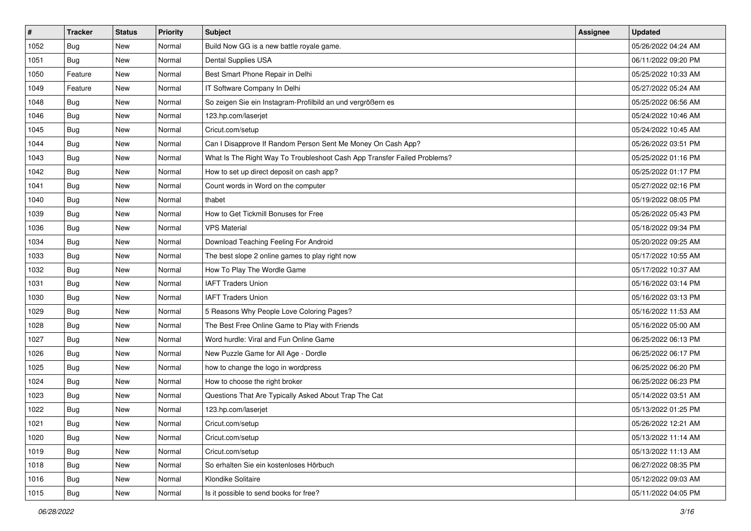| $\vert$ # | <b>Tracker</b> | <b>Status</b> | <b>Priority</b> | Subject                                                                  | <b>Assignee</b> | <b>Updated</b>      |
|-----------|----------------|---------------|-----------------|--------------------------------------------------------------------------|-----------------|---------------------|
| 1052      | <b>Bug</b>     | New           | Normal          | Build Now GG is a new battle royale game.                                |                 | 05/26/2022 04:24 AM |
| 1051      | Bug            | New           | Normal          | Dental Supplies USA                                                      |                 | 06/11/2022 09:20 PM |
| 1050      | Feature        | New           | Normal          | Best Smart Phone Repair in Delhi                                         |                 | 05/25/2022 10:33 AM |
| 1049      | Feature        | New           | Normal          | IT Software Company In Delhi                                             |                 | 05/27/2022 05:24 AM |
| 1048      | Bug            | New           | Normal          | So zeigen Sie ein Instagram-Profilbild an und vergrößern es              |                 | 05/25/2022 06:56 AM |
| 1046      | <b>Bug</b>     | New           | Normal          | 123.hp.com/laserjet                                                      |                 | 05/24/2022 10:46 AM |
| 1045      | <b>Bug</b>     | New           | Normal          | Cricut.com/setup                                                         |                 | 05/24/2022 10:45 AM |
| 1044      | Bug            | New           | Normal          | Can I Disapprove If Random Person Sent Me Money On Cash App?             |                 | 05/26/2022 03:51 PM |
| 1043      | <b>Bug</b>     | New           | Normal          | What Is The Right Way To Troubleshoot Cash App Transfer Failed Problems? |                 | 05/25/2022 01:16 PM |
| 1042      | Bug            | New           | Normal          | How to set up direct deposit on cash app?                                |                 | 05/25/2022 01:17 PM |
| 1041      | <b>Bug</b>     | New           | Normal          | Count words in Word on the computer                                      |                 | 05/27/2022 02:16 PM |
| 1040      | Bug            | New           | Normal          | thabet                                                                   |                 | 05/19/2022 08:05 PM |
| 1039      | Bug            | New           | Normal          | How to Get Tickmill Bonuses for Free                                     |                 | 05/26/2022 05:43 PM |
| 1036      | <b>Bug</b>     | New           | Normal          | <b>VPS Material</b>                                                      |                 | 05/18/2022 09:34 PM |
| 1034      | Bug            | New           | Normal          | Download Teaching Feeling For Android                                    |                 | 05/20/2022 09:25 AM |
| 1033      | <b>Bug</b>     | New           | Normal          | The best slope 2 online games to play right now                          |                 | 05/17/2022 10:55 AM |
| 1032      | <b>Bug</b>     | New           | Normal          | How To Play The Wordle Game                                              |                 | 05/17/2022 10:37 AM |
| 1031      | Bug            | New           | Normal          | <b>IAFT Traders Union</b>                                                |                 | 05/16/2022 03:14 PM |
| 1030      | <b>Bug</b>     | New           | Normal          | <b>IAFT Traders Union</b>                                                |                 | 05/16/2022 03:13 PM |
| 1029      | Bug            | New           | Normal          | 5 Reasons Why People Love Coloring Pages?                                |                 | 05/16/2022 11:53 AM |
| 1028      | Bug            | New           | Normal          | The Best Free Online Game to Play with Friends                           |                 | 05/16/2022 05:00 AM |
| 1027      | <b>Bug</b>     | New           | Normal          | Word hurdle: Viral and Fun Online Game                                   |                 | 06/25/2022 06:13 PM |
| 1026      | Bug            | New           | Normal          | New Puzzle Game for All Age - Dordle                                     |                 | 06/25/2022 06:17 PM |
| 1025      | Bug            | New           | Normal          | how to change the logo in wordpress                                      |                 | 06/25/2022 06:20 PM |
| 1024      | <b>Bug</b>     | New           | Normal          | How to choose the right broker                                           |                 | 06/25/2022 06:23 PM |
| 1023      | <b>Bug</b>     | New           | Normal          | Questions That Are Typically Asked About Trap The Cat                    |                 | 05/14/2022 03:51 AM |
| 1022      | <b>Bug</b>     | New           | Normal          | 123.hp.com/laserjet                                                      |                 | 05/13/2022 01:25 PM |
| 1021      | Bug            | New           | Normal          | Cricut.com/setup                                                         |                 | 05/26/2022 12:21 AM |
| 1020      | Bug            | New           | Normal          | Cricut.com/setup                                                         |                 | 05/13/2022 11:14 AM |
| 1019      | <b>Bug</b>     | New           | Normal          | Cricut.com/setup                                                         |                 | 05/13/2022 11:13 AM |
| 1018      | <b>Bug</b>     | New           | Normal          | So erhalten Sie ein kostenloses Hörbuch                                  |                 | 06/27/2022 08:35 PM |
| 1016      | Bug            | New           | Normal          | Klondike Solitaire                                                       |                 | 05/12/2022 09:03 AM |
| 1015      | <b>Bug</b>     | New           | Normal          | Is it possible to send books for free?                                   |                 | 05/11/2022 04:05 PM |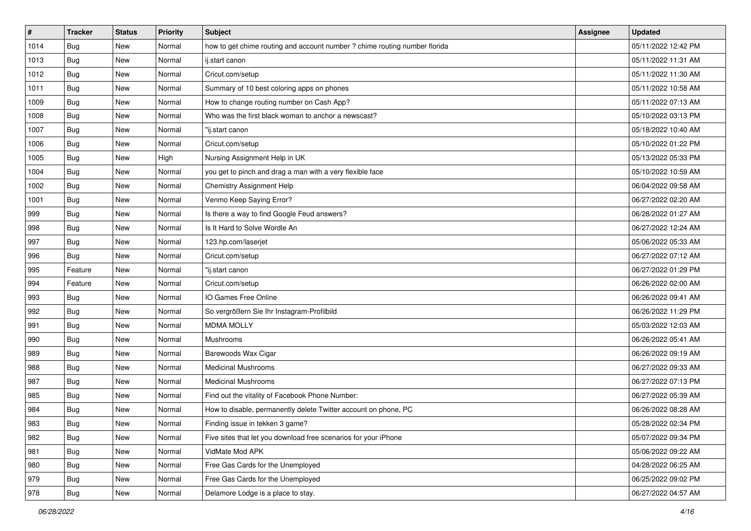| #    | <b>Tracker</b> | <b>Status</b> | <b>Priority</b> | <b>Subject</b>                                                             | <b>Assignee</b> | <b>Updated</b>      |
|------|----------------|---------------|-----------------|----------------------------------------------------------------------------|-----------------|---------------------|
| 1014 | Bug            | New           | Normal          | how to get chime routing and account number ? chime routing number florida |                 | 05/11/2022 12:42 PM |
| 1013 | <b>Bug</b>     | New           | Normal          | ij.start canon                                                             |                 | 05/11/2022 11:31 AM |
| 1012 | Bug            | New           | Normal          | Cricut.com/setup                                                           |                 | 05/11/2022 11:30 AM |
| 1011 | Bug            | New           | Normal          | Summary of 10 best coloring apps on phones                                 |                 | 05/11/2022 10:58 AM |
| 1009 | Bug            | New           | Normal          | How to change routing number on Cash App?                                  |                 | 05/11/2022 07:13 AM |
| 1008 | Bug            | New           | Normal          | Who was the first black woman to anchor a newscast?                        |                 | 05/10/2022 03:13 PM |
| 1007 | <b>Bug</b>     | New           | Normal          | "ij.start canon                                                            |                 | 05/18/2022 10:40 AM |
| 1006 | Bug            | New           | Normal          | Cricut.com/setup                                                           |                 | 05/10/2022 01:22 PM |
| 1005 | Bug            | New           | High            | Nursing Assignment Help in UK                                              |                 | 05/13/2022 05:33 PM |
| 1004 | Bug            | New           | Normal          | you get to pinch and drag a man with a very flexible face                  |                 | 05/10/2022 10:59 AM |
| 1002 | <b>Bug</b>     | New           | Normal          | Chemistry Assignment Help                                                  |                 | 06/04/2022 09:58 AM |
| 1001 | <b>Bug</b>     | New           | Normal          | Venmo Keep Saying Error?                                                   |                 | 06/27/2022 02:20 AM |
| 999  | Bug            | New           | Normal          | Is there a way to find Google Feud answers?                                |                 | 06/28/2022 01:27 AM |
| 998  | <b>Bug</b>     | New           | Normal          | Is It Hard to Solve Wordle An                                              |                 | 06/27/2022 12:24 AM |
| 997  | Bug            | New           | Normal          | 123.hp.com/laserjet                                                        |                 | 05/06/2022 05:33 AM |
| 996  | <b>Bug</b>     | New           | Normal          | Cricut.com/setup                                                           |                 | 06/27/2022 07:12 AM |
| 995  | Feature        | New           | Normal          | "ij.start canon                                                            |                 | 06/27/2022 01:29 PM |
| 994  | Feature        | New           | Normal          | Cricut.com/setup                                                           |                 | 06/26/2022 02:00 AM |
| 993  | Bug            | New           | Normal          | IO Games Free Online                                                       |                 | 06/26/2022 09:41 AM |
| 992  | <b>Bug</b>     | New           | Normal          | So vergrößern Sie Ihr Instagram-Profilbild                                 |                 | 06/26/2022 11:29 PM |
| 991  | Bug            | New           | Normal          | <b>MDMA MOLLY</b>                                                          |                 | 05/03/2022 12:03 AM |
| 990  | <b>Bug</b>     | New           | Normal          | Mushrooms                                                                  |                 | 06/26/2022 05:41 AM |
| 989  | Bug            | New           | Normal          | Barewoods Wax Cigar                                                        |                 | 06/26/2022 09:19 AM |
| 988  | <b>Bug</b>     | New           | Normal          | <b>Medicinal Mushrooms</b>                                                 |                 | 06/27/2022 09:33 AM |
| 987  | Bug            | New           | Normal          | <b>Medicinal Mushrooms</b>                                                 |                 | 06/27/2022 07:13 PM |
| 985  | Bug            | New           | Normal          | Find out the vitality of Facebook Phone Number:                            |                 | 06/27/2022 05:39 AM |
| 984  | <b>Bug</b>     | New           | Normal          | How to disable, permanently delete Twitter account on phone, PC            |                 | 06/26/2022 08:28 AM |
| 983  | Bug            | New           | Normal          | Finding issue in tekken 3 game?                                            |                 | 05/28/2022 02:34 PM |
| 982  | Bug            | New           | Normal          | Five sites that let you download free scenarios for your iPhone            |                 | 05/07/2022 09:34 PM |
| 981  | <b>Bug</b>     | New           | Normal          | VidMate Mod APK                                                            |                 | 05/06/2022 09:22 AM |
| 980  | <b>Bug</b>     | New           | Normal          | Free Gas Cards for the Unemployed                                          |                 | 04/28/2022 06:25 AM |
| 979  | <b>Bug</b>     | New           | Normal          | Free Gas Cards for the Unemployed                                          |                 | 06/25/2022 09:02 PM |
| 978  | Bug            | New           | Normal          | Delamore Lodge is a place to stay.                                         |                 | 06/27/2022 04:57 AM |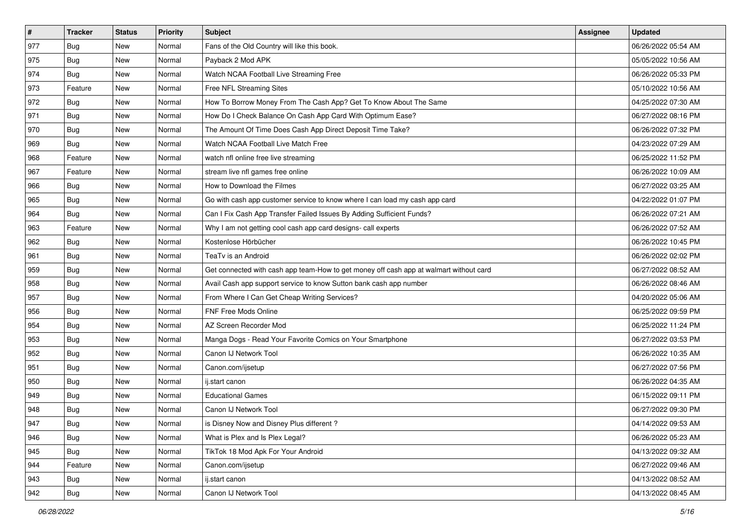| $\vert$ # | <b>Tracker</b> | <b>Status</b> | Priority | Subject                                                                                | <b>Assignee</b> | <b>Updated</b>      |
|-----------|----------------|---------------|----------|----------------------------------------------------------------------------------------|-----------------|---------------------|
| 977       | <b>Bug</b>     | New           | Normal   | Fans of the Old Country will like this book.                                           |                 | 06/26/2022 05:54 AM |
| 975       | <b>Bug</b>     | New           | Normal   | Payback 2 Mod APK                                                                      |                 | 05/05/2022 10:56 AM |
| 974       | <b>Bug</b>     | New           | Normal   | Watch NCAA Football Live Streaming Free                                                |                 | 06/26/2022 05:33 PM |
| 973       | Feature        | New           | Normal   | Free NFL Streaming Sites                                                               |                 | 05/10/2022 10:56 AM |
| 972       | Bug            | New           | Normal   | How To Borrow Money From The Cash App? Get To Know About The Same                      |                 | 04/25/2022 07:30 AM |
| 971       | <b>Bug</b>     | New           | Normal   | How Do I Check Balance On Cash App Card With Optimum Ease?                             |                 | 06/27/2022 08:16 PM |
| 970       | <b>Bug</b>     | New           | Normal   | The Amount Of Time Does Cash App Direct Deposit Time Take?                             |                 | 06/26/2022 07:32 PM |
| 969       | Bug            | New           | Normal   | Watch NCAA Football Live Match Free                                                    |                 | 04/23/2022 07:29 AM |
| 968       | Feature        | New           | Normal   | watch nfl online free live streaming                                                   |                 | 06/25/2022 11:52 PM |
| 967       | Feature        | New           | Normal   | stream live nfl games free online                                                      |                 | 06/26/2022 10:09 AM |
| 966       | <b>Bug</b>     | New           | Normal   | How to Download the Filmes                                                             |                 | 06/27/2022 03:25 AM |
| 965       | <b>Bug</b>     | New           | Normal   | Go with cash app customer service to know where I can load my cash app card            |                 | 04/22/2022 01:07 PM |
| 964       | Bug            | New           | Normal   | Can I Fix Cash App Transfer Failed Issues By Adding Sufficient Funds?                  |                 | 06/26/2022 07:21 AM |
| 963       | Feature        | New           | Normal   | Why I am not getting cool cash app card designs- call experts                          |                 | 06/26/2022 07:52 AM |
| 962       | <b>Bug</b>     | New           | Normal   | Kostenlose Hörbücher                                                                   |                 | 06/26/2022 10:45 PM |
| 961       | <b>Bug</b>     | New           | Normal   | TeaTv is an Android                                                                    |                 | 06/26/2022 02:02 PM |
| 959       | <b>Bug</b>     | New           | Normal   | Get connected with cash app team-How to get money off cash app at walmart without card |                 | 06/27/2022 08:52 AM |
| 958       | <b>Bug</b>     | New           | Normal   | Avail Cash app support service to know Sutton bank cash app number                     |                 | 06/26/2022 08:46 AM |
| 957       | Bug            | New           | Normal   | From Where I Can Get Cheap Writing Services?                                           |                 | 04/20/2022 05:06 AM |
| 956       | <b>Bug</b>     | New           | Normal   | FNF Free Mods Online                                                                   |                 | 06/25/2022 09:59 PM |
| 954       | <b>Bug</b>     | New           | Normal   | AZ Screen Recorder Mod                                                                 |                 | 06/25/2022 11:24 PM |
| 953       | <b>Bug</b>     | New           | Normal   | Manga Dogs - Read Your Favorite Comics on Your Smartphone                              |                 | 06/27/2022 03:53 PM |
| 952       | Bug            | New           | Normal   | Canon IJ Network Tool                                                                  |                 | 06/26/2022 10:35 AM |
| 951       | <b>Bug</b>     | New           | Normal   | Canon.com/ijsetup                                                                      |                 | 06/27/2022 07:56 PM |
| 950       | Bug            | New           | Normal   | ij.start canon                                                                         |                 | 06/26/2022 04:35 AM |
| 949       | Bug            | New           | Normal   | <b>Educational Games</b>                                                               |                 | 06/15/2022 09:11 PM |
| 948       | <b>Bug</b>     | New           | Normal   | Canon IJ Network Tool                                                                  |                 | 06/27/2022 09:30 PM |
| 947       | I Bug          | New           | Normal   | is Disney Now and Disney Plus different?                                               |                 | 04/14/2022 09:53 AM |
| 946       | <b>Bug</b>     | New           | Normal   | What is Plex and Is Plex Legal?                                                        |                 | 06/26/2022 05:23 AM |
| 945       | Bug            | New           | Normal   | TikTok 18 Mod Apk For Your Android                                                     |                 | 04/13/2022 09:32 AM |
| 944       | Feature        | New           | Normal   | Canon.com/ijsetup                                                                      |                 | 06/27/2022 09:46 AM |
| 943       | <b>Bug</b>     | New           | Normal   | ij.start canon                                                                         |                 | 04/13/2022 08:52 AM |
| 942       | Bug            | New           | Normal   | Canon IJ Network Tool                                                                  |                 | 04/13/2022 08:45 AM |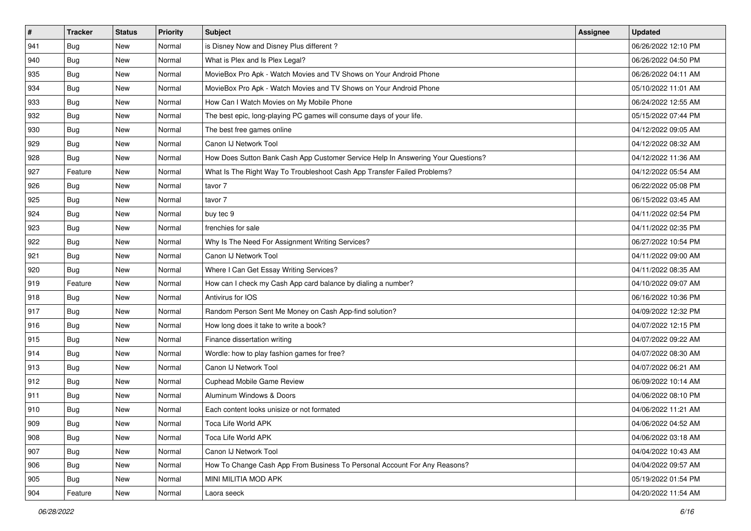| $\vert$ #     | <b>Tracker</b> | <b>Status</b> | <b>Priority</b> | Subject                                                                          | <b>Assignee</b> | <b>Updated</b>      |
|---------------|----------------|---------------|-----------------|----------------------------------------------------------------------------------|-----------------|---------------------|
| 941           | <b>Bug</b>     | New           | Normal          | is Disney Now and Disney Plus different?                                         |                 | 06/26/2022 12:10 PM |
| 940           | <b>Bug</b>     | New           | Normal          | What is Plex and Is Plex Legal?                                                  |                 | 06/26/2022 04:50 PM |
| 935           | <b>Bug</b>     | New           | Normal          | MovieBox Pro Apk - Watch Movies and TV Shows on Your Android Phone               |                 | 06/26/2022 04:11 AM |
| 934           | Bug            | New           | Normal          | MovieBox Pro Apk - Watch Movies and TV Shows on Your Android Phone               |                 | 05/10/2022 11:01 AM |
| 933           | Bug            | New           | Normal          | How Can I Watch Movies on My Mobile Phone                                        |                 | 06/24/2022 12:55 AM |
| 932           | <b>Bug</b>     | New           | Normal          | The best epic, long-playing PC games will consume days of your life.             |                 | 05/15/2022 07:44 PM |
| 930           | <b>Bug</b>     | New           | Normal          | The best free games online                                                       |                 | 04/12/2022 09:05 AM |
| 929           | <b>Bug</b>     | New           | Normal          | Canon IJ Network Tool                                                            |                 | 04/12/2022 08:32 AM |
| 928           | <b>Bug</b>     | New           | Normal          | How Does Sutton Bank Cash App Customer Service Help In Answering Your Questions? |                 | 04/12/2022 11:36 AM |
| 927           | Feature        | New           | Normal          | What Is The Right Way To Troubleshoot Cash App Transfer Failed Problems?         |                 | 04/12/2022 05:54 AM |
| 926           | <b>Bug</b>     | New           | Normal          | tavor 7                                                                          |                 | 06/22/2022 05:08 PM |
| 925           | <b>Bug</b>     | New           | Normal          | tavor 7                                                                          |                 | 06/15/2022 03:45 AM |
| 924           | <b>Bug</b>     | New           | Normal          | buy tec 9                                                                        |                 | 04/11/2022 02:54 PM |
| 923           | <b>Bug</b>     | New           | Normal          | frenchies for sale                                                               |                 | 04/11/2022 02:35 PM |
| 922           | <b>Bug</b>     | New           | Normal          | Why Is The Need For Assignment Writing Services?                                 |                 | 06/27/2022 10:54 PM |
| 921           | <b>Bug</b>     | New           | Normal          | Canon IJ Network Tool                                                            |                 | 04/11/2022 09:00 AM |
| 920           | <b>Bug</b>     | New           | Normal          | Where I Can Get Essay Writing Services?                                          |                 | 04/11/2022 08:35 AM |
| 919           | Feature        | New           | Normal          | How can I check my Cash App card balance by dialing a number?                    |                 | 04/10/2022 09:07 AM |
| 918           | Bug            | New           | Normal          | Antivirus for IOS                                                                |                 | 06/16/2022 10:36 PM |
| 917           | <b>Bug</b>     | New           | Normal          | Random Person Sent Me Money on Cash App-find solution?                           |                 | 04/09/2022 12:32 PM |
| 916           | <b>Bug</b>     | New           | Normal          | How long does it take to write a book?                                           |                 | 04/07/2022 12:15 PM |
| 915           | <b>Bug</b>     | New           | Normal          | Finance dissertation writing                                                     |                 | 04/07/2022 09:22 AM |
| 914           | Bug            | New           | Normal          | Wordle: how to play fashion games for free?                                      |                 | 04/07/2022 08:30 AM |
| 913           | <b>Bug</b>     | New           | Normal          | Canon IJ Network Tool                                                            |                 | 04/07/2022 06:21 AM |
| 912           | Bug            | New           | Normal          | <b>Cuphead Mobile Game Review</b>                                                |                 | 06/09/2022 10:14 AM |
| 911           | Bug            | New           | Normal          | Aluminum Windows & Doors                                                         |                 | 04/06/2022 08:10 PM |
| 910           | <b>Bug</b>     | New           | Normal          | Each content looks unisize or not formated                                       |                 | 04/06/2022 11:21 AM |
| $ 909\rangle$ | I Bug          | New           | Normal          | Toca Life World APK                                                              |                 | 04/06/2022 04:52 AM |
| 908           | Bug            | New           | Normal          | Toca Life World APK                                                              |                 | 04/06/2022 03:18 AM |
| $ 907\rangle$ | <b>Bug</b>     | New           | Normal          | Canon IJ Network Tool                                                            |                 | 04/04/2022 10:43 AM |
| 906           | <b>Bug</b>     | New           | Normal          | How To Change Cash App From Business To Personal Account For Any Reasons?        |                 | 04/04/2022 09:57 AM |
| 905           | <b>Bug</b>     | New           | Normal          | MINI MILITIA MOD APK                                                             |                 | 05/19/2022 01:54 PM |
| 904           | Feature        | New           | Normal          | Laora seeck                                                                      |                 | 04/20/2022 11:54 AM |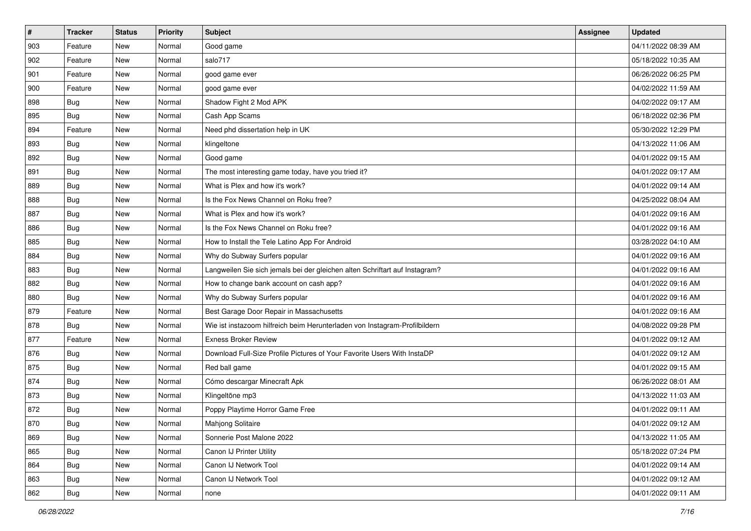| $\pmb{\#}$ | <b>Tracker</b> | <b>Status</b> | Priority | <b>Subject</b>                                                              | <b>Assignee</b> | <b>Updated</b>      |
|------------|----------------|---------------|----------|-----------------------------------------------------------------------------|-----------------|---------------------|
| 903        | Feature        | New           | Normal   | Good game                                                                   |                 | 04/11/2022 08:39 AM |
| 902        | Feature        | New           | Normal   | salo717                                                                     |                 | 05/18/2022 10:35 AM |
| 901        | Feature        | New           | Normal   | good game ever                                                              |                 | 06/26/2022 06:25 PM |
| 900        | Feature        | New           | Normal   | good game ever                                                              |                 | 04/02/2022 11:59 AM |
| 898        | Bug            | New           | Normal   | Shadow Fight 2 Mod APK                                                      |                 | 04/02/2022 09:17 AM |
| 895        | <b>Bug</b>     | New           | Normal   | Cash App Scams                                                              |                 | 06/18/2022 02:36 PM |
| 894        | Feature        | New           | Normal   | Need phd dissertation help in UK                                            |                 | 05/30/2022 12:29 PM |
| 893        | Bug            | New           | Normal   | klingeltone                                                                 |                 | 04/13/2022 11:06 AM |
| 892        | <b>Bug</b>     | New           | Normal   | Good game                                                                   |                 | 04/01/2022 09:15 AM |
| 891        | <b>Bug</b>     | <b>New</b>    | Normal   | The most interesting game today, have you tried it?                         |                 | 04/01/2022 09:17 AM |
| 889        | Bug            | New           | Normal   | What is Plex and how it's work?                                             |                 | 04/01/2022 09:14 AM |
| 888        | <b>Bug</b>     | New           | Normal   | Is the Fox News Channel on Roku free?                                       |                 | 04/25/2022 08:04 AM |
| 887        | Bug            | New           | Normal   | What is Plex and how it's work?                                             |                 | 04/01/2022 09:16 AM |
| 886        | Bug            | New           | Normal   | Is the Fox News Channel on Roku free?                                       |                 | 04/01/2022 09:16 AM |
| 885        | Bug            | <b>New</b>    | Normal   | How to Install the Tele Latino App For Android                              |                 | 03/28/2022 04:10 AM |
| 884        | Bug            | New           | Normal   | Why do Subway Surfers popular                                               |                 | 04/01/2022 09:16 AM |
| 883        | <b>Bug</b>     | <b>New</b>    | Normal   | Langweilen Sie sich jemals bei der gleichen alten Schriftart auf Instagram? |                 | 04/01/2022 09:16 AM |
| 882        | Bug            | New           | Normal   | How to change bank account on cash app?                                     |                 | 04/01/2022 09:16 AM |
| 880        | <b>Bug</b>     | New           | Normal   | Why do Subway Surfers popular                                               |                 | 04/01/2022 09:16 AM |
| 879        | Feature        | <b>New</b>    | Normal   | Best Garage Door Repair in Massachusetts                                    |                 | 04/01/2022 09:16 AM |
| 878        | Bug            | New           | Normal   | Wie ist instazoom hilfreich beim Herunterladen von Instagram-Profilbildern  |                 | 04/08/2022 09:28 PM |
| 877        | Feature        | New           | Normal   | <b>Exness Broker Review</b>                                                 |                 | 04/01/2022 09:12 AM |
| 876        | Bug            | New           | Normal   | Download Full-Size Profile Pictures of Your Favorite Users With InstaDP     |                 | 04/01/2022 09:12 AM |
| 875        | <b>Bug</b>     | New           | Normal   | Red ball game                                                               |                 | 04/01/2022 09:15 AM |
| 874        | <b>Bug</b>     | New           | Normal   | Cómo descargar Minecraft Apk                                                |                 | 06/26/2022 08:01 AM |
| 873        | <b>Bug</b>     | New           | Normal   | Klingeltöne mp3                                                             |                 | 04/13/2022 11:03 AM |
| 872        | <b>Bug</b>     | New           | Normal   | Poppy Playtime Horror Game Free                                             |                 | 04/01/2022 09:11 AM |
| 870        | i Bug          | New           | Normal   | Mahjong Solitaire                                                           |                 | 04/01/2022 09:12 AM |
| 869        | Bug            | New           | Normal   | Sonnerie Post Malone 2022                                                   |                 | 04/13/2022 11:05 AM |
| 865        | Bug            | New           | Normal   | Canon IJ Printer Utility                                                    |                 | 05/18/2022 07:24 PM |
| 864        | Bug            | New           | Normal   | Canon IJ Network Tool                                                       |                 | 04/01/2022 09:14 AM |
| 863        | <b>Bug</b>     | New           | Normal   | Canon IJ Network Tool                                                       |                 | 04/01/2022 09:12 AM |
| 862        | <b>Bug</b>     | New           | Normal   | none                                                                        |                 | 04/01/2022 09:11 AM |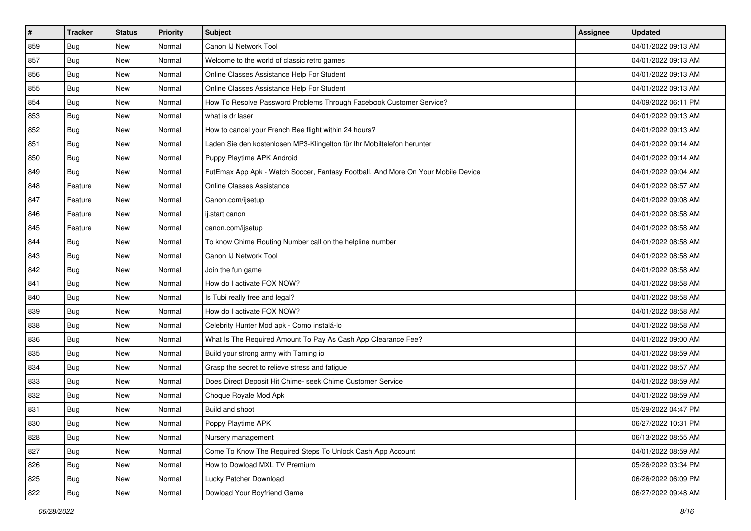| $\sharp$ | <b>Tracker</b> | <b>Status</b> | <b>Priority</b> | Subject                                                                          | Assignee | <b>Updated</b>      |
|----------|----------------|---------------|-----------------|----------------------------------------------------------------------------------|----------|---------------------|
| 859      | <b>Bug</b>     | New           | Normal          | Canon IJ Network Tool                                                            |          | 04/01/2022 09:13 AM |
| 857      | <b>Bug</b>     | New           | Normal          | Welcome to the world of classic retro games                                      |          | 04/01/2022 09:13 AM |
| 856      | Bug            | New           | Normal          | Online Classes Assistance Help For Student                                       |          | 04/01/2022 09:13 AM |
| 855      | <b>Bug</b>     | New           | Normal          | Online Classes Assistance Help For Student                                       |          | 04/01/2022 09:13 AM |
| 854      | Bug            | New           | Normal          | How To Resolve Password Problems Through Facebook Customer Service?              |          | 04/09/2022 06:11 PM |
| 853      | <b>Bug</b>     | New           | Normal          | what is dr laser                                                                 |          | 04/01/2022 09:13 AM |
| 852      | Bug            | New           | Normal          | How to cancel your French Bee flight within 24 hours?                            |          | 04/01/2022 09:13 AM |
| 851      | <b>Bug</b>     | New           | Normal          | Laden Sie den kostenlosen MP3-Klingelton für Ihr Mobiltelefon herunter           |          | 04/01/2022 09:14 AM |
| 850      | Bug            | New           | Normal          | Puppy Playtime APK Android                                                       |          | 04/01/2022 09:14 AM |
| 849      | Bug            | New           | Normal          | FutEmax App Apk - Watch Soccer, Fantasy Football, And More On Your Mobile Device |          | 04/01/2022 09:04 AM |
| 848      | Feature        | New           | Normal          | <b>Online Classes Assistance</b>                                                 |          | 04/01/2022 08:57 AM |
| 847      | Feature        | New           | Normal          | Canon.com/ijsetup                                                                |          | 04/01/2022 09:08 AM |
| 846      | Feature        | New           | Normal          | ij.start canon                                                                   |          | 04/01/2022 08:58 AM |
| 845      | Feature        | New           | Normal          | canon.com/ijsetup                                                                |          | 04/01/2022 08:58 AM |
| 844      | <b>Bug</b>     | New           | Normal          | To know Chime Routing Number call on the helpline number                         |          | 04/01/2022 08:58 AM |
| 843      | Bug            | New           | Normal          | Canon IJ Network Tool                                                            |          | 04/01/2022 08:58 AM |
| 842      | <b>Bug</b>     | New           | Normal          | Join the fun game                                                                |          | 04/01/2022 08:58 AM |
| 841      | Bug            | <b>New</b>    | Normal          | How do I activate FOX NOW?                                                       |          | 04/01/2022 08:58 AM |
| 840      | Bug            | New           | Normal          | Is Tubi really free and legal?                                                   |          | 04/01/2022 08:58 AM |
| 839      | Bug            | New           | Normal          | How do I activate FOX NOW?                                                       |          | 04/01/2022 08:58 AM |
| 838      | <b>Bug</b>     | New           | Normal          | Celebrity Hunter Mod apk - Como instalá-lo                                       |          | 04/01/2022 08:58 AM |
| 836      | Bug            | New           | Normal          | What Is The Required Amount To Pay As Cash App Clearance Fee?                    |          | 04/01/2022 09:00 AM |
| 835      | Bug            | New           | Normal          | Build your strong army with Taming io                                            |          | 04/01/2022 08:59 AM |
| 834      | <b>Bug</b>     | New           | Normal          | Grasp the secret to relieve stress and fatigue                                   |          | 04/01/2022 08:57 AM |
| 833      | Bug            | New           | Normal          | Does Direct Deposit Hit Chime- seek Chime Customer Service                       |          | 04/01/2022 08:59 AM |
| 832      | Bug            | New           | Normal          | Choque Royale Mod Apk                                                            |          | 04/01/2022 08:59 AM |
| 831      | <b>Bug</b>     | New           | Normal          | Build and shoot                                                                  |          | 05/29/2022 04:47 PM |
| 830      | I Bug          | New           | Normal          | Poppy Playtime APK                                                               |          | 06/27/2022 10:31 PM |
| 828      | <b>Bug</b>     | New           | Normal          | Nursery management                                                               |          | 06/13/2022 08:55 AM |
| 827      | <b>Bug</b>     | New           | Normal          | Come To Know The Required Steps To Unlock Cash App Account                       |          | 04/01/2022 08:59 AM |
| 826      | <b>Bug</b>     | New           | Normal          | How to Dowload MXL TV Premium                                                    |          | 05/26/2022 03:34 PM |
| 825      | Bug            | New           | Normal          | Lucky Patcher Download                                                           |          | 06/26/2022 06:09 PM |
| 822      | <b>Bug</b>     | New           | Normal          | Dowload Your Boyfriend Game                                                      |          | 06/27/2022 09:48 AM |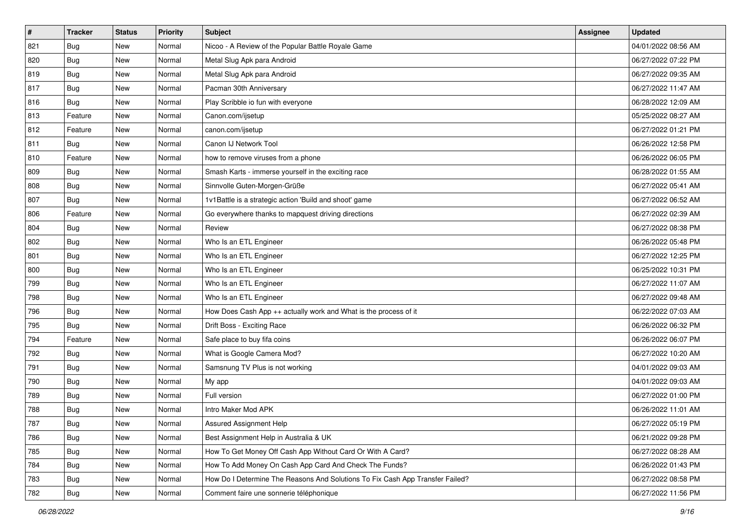| #   | <b>Tracker</b> | <b>Status</b> | <b>Priority</b> | Subject                                                                       | <b>Assignee</b> | <b>Updated</b>      |
|-----|----------------|---------------|-----------------|-------------------------------------------------------------------------------|-----------------|---------------------|
| 821 | <b>Bug</b>     | New           | Normal          | Nicoo - A Review of the Popular Battle Royale Game                            |                 | 04/01/2022 08:56 AM |
| 820 | Bug            | New           | Normal          | Metal Slug Apk para Android                                                   |                 | 06/27/2022 07:22 PM |
| 819 | <b>Bug</b>     | New           | Normal          | Metal Slug Apk para Android                                                   |                 | 06/27/2022 09:35 AM |
| 817 | Bug            | New           | Normal          | Pacman 30th Anniversary                                                       |                 | 06/27/2022 11:47 AM |
| 816 | <b>Bug</b>     | New           | Normal          | Play Scribble io fun with everyone                                            |                 | 06/28/2022 12:09 AM |
| 813 | Feature        | New           | Normal          | Canon.com/ijsetup                                                             |                 | 05/25/2022 08:27 AM |
| 812 | Feature        | New           | Normal          | canon.com/ijsetup                                                             |                 | 06/27/2022 01:21 PM |
| 811 | Bug            | New           | Normal          | Canon IJ Network Tool                                                         |                 | 06/26/2022 12:58 PM |
| 810 | Feature        | New           | Normal          | how to remove viruses from a phone                                            |                 | 06/26/2022 06:05 PM |
| 809 | Bug            | New           | Normal          | Smash Karts - immerse yourself in the exciting race                           |                 | 06/28/2022 01:55 AM |
| 808 | <b>Bug</b>     | New           | Normal          | Sinnvolle Guten-Morgen-Grüße                                                  |                 | 06/27/2022 05:41 AM |
| 807 | <b>Bug</b>     | New           | Normal          | 1v1Battle is a strategic action 'Build and shoot' game                        |                 | 06/27/2022 06:52 AM |
| 806 | Feature        | New           | Normal          | Go everywhere thanks to mapquest driving directions                           |                 | 06/27/2022 02:39 AM |
| 804 | Bug            | New           | Normal          | Review                                                                        |                 | 06/27/2022 08:38 PM |
| 802 | <b>Bug</b>     | New           | Normal          | Who Is an ETL Engineer                                                        |                 | 06/26/2022 05:48 PM |
| 801 | <b>Bug</b>     | New           | Normal          | Who Is an ETL Engineer                                                        |                 | 06/27/2022 12:25 PM |
| 800 | <b>Bug</b>     | New           | Normal          | Who Is an ETL Engineer                                                        |                 | 06/25/2022 10:31 PM |
| 799 | Bug            | New           | Normal          | Who Is an ETL Engineer                                                        |                 | 06/27/2022 11:07 AM |
| 798 | Bug            | New           | Normal          | Who Is an ETL Engineer                                                        |                 | 06/27/2022 09:48 AM |
| 796 | <b>Bug</b>     | New           | Normal          | How Does Cash App ++ actually work and What is the process of it              |                 | 06/22/2022 07:03 AM |
| 795 | Bug            | New           | Normal          | Drift Boss - Exciting Race                                                    |                 | 06/26/2022 06:32 PM |
| 794 | Feature        | New           | Normal          | Safe place to buy fifa coins                                                  |                 | 06/26/2022 06:07 PM |
| 792 | Bug            | New           | Normal          | What is Google Camera Mod?                                                    |                 | 06/27/2022 10:20 AM |
| 791 | <b>Bug</b>     | New           | Normal          | Samsnung TV Plus is not working                                               |                 | 04/01/2022 09:03 AM |
| 790 | Bug            | New           | Normal          | My app                                                                        |                 | 04/01/2022 09:03 AM |
| 789 | <b>Bug</b>     | New           | Normal          | Full version                                                                  |                 | 06/27/2022 01:00 PM |
| 788 | <b>Bug</b>     | New           | Normal          | Intro Maker Mod APK                                                           |                 | 06/26/2022 11:01 AM |
| 787 | I Bug          | New           | Normal          | Assured Assignment Help                                                       |                 | 06/27/2022 05:19 PM |
| 786 | <b>Bug</b>     | New           | Normal          | Best Assignment Help in Australia & UK                                        |                 | 06/21/2022 09:28 PM |
| 785 | <b>Bug</b>     | New           | Normal          | How To Get Money Off Cash App Without Card Or With A Card?                    |                 | 06/27/2022 08:28 AM |
| 784 | <b>Bug</b>     | New           | Normal          | How To Add Money On Cash App Card And Check The Funds?                        |                 | 06/26/2022 01:43 PM |
| 783 | <b>Bug</b>     | New           | Normal          | How Do I Determine The Reasons And Solutions To Fix Cash App Transfer Failed? |                 | 06/27/2022 08:58 PM |
| 782 | Bug            | New           | Normal          | Comment faire une sonnerie téléphonique                                       |                 | 06/27/2022 11:56 PM |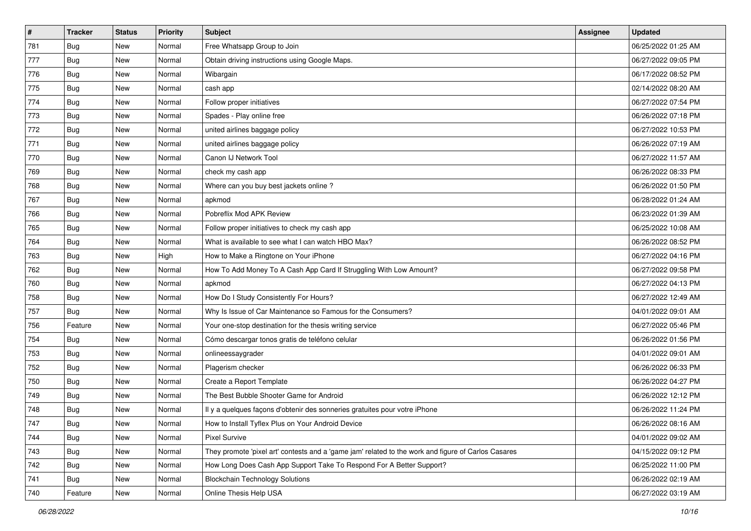| #   | <b>Tracker</b> | <b>Status</b> | <b>Priority</b> | Subject                                                                                             | <b>Assignee</b> | <b>Updated</b>      |
|-----|----------------|---------------|-----------------|-----------------------------------------------------------------------------------------------------|-----------------|---------------------|
| 781 | <b>Bug</b>     | New           | Normal          | Free Whatsapp Group to Join                                                                         |                 | 06/25/2022 01:25 AM |
| 777 | <b>Bug</b>     | New           | Normal          | Obtain driving instructions using Google Maps.                                                      |                 | 06/27/2022 09:05 PM |
| 776 | <b>Bug</b>     | New           | Normal          | Wibargain                                                                                           |                 | 06/17/2022 08:52 PM |
| 775 | <b>Bug</b>     | New           | Normal          | cash app                                                                                            |                 | 02/14/2022 08:20 AM |
| 774 | Bug            | New           | Normal          | Follow proper initiatives                                                                           |                 | 06/27/2022 07:54 PM |
| 773 | <b>Bug</b>     | New           | Normal          | Spades - Play online free                                                                           |                 | 06/26/2022 07:18 PM |
| 772 | <b>Bug</b>     | New           | Normal          | united airlines baggage policy                                                                      |                 | 06/27/2022 10:53 PM |
| 771 | <b>Bug</b>     | New           | Normal          | united airlines baggage policy                                                                      |                 | 06/26/2022 07:19 AM |
| 770 | <b>Bug</b>     | New           | Normal          | Canon IJ Network Tool                                                                               |                 | 06/27/2022 11:57 AM |
| 769 | Bug            | New           | Normal          | check my cash app                                                                                   |                 | 06/26/2022 08:33 PM |
| 768 | <b>Bug</b>     | New           | Normal          | Where can you buy best jackets online?                                                              |                 | 06/26/2022 01:50 PM |
| 767 | Bug            | New           | Normal          | apkmod                                                                                              |                 | 06/28/2022 01:24 AM |
| 766 | <b>Bug</b>     | New           | Normal          | Pobreflix Mod APK Review                                                                            |                 | 06/23/2022 01:39 AM |
| 765 | <b>Bug</b>     | New           | Normal          | Follow proper initiatives to check my cash app                                                      |                 | 06/25/2022 10:08 AM |
| 764 | <b>Bug</b>     | New           | Normal          | What is available to see what I can watch HBO Max?                                                  |                 | 06/26/2022 08:52 PM |
| 763 | <b>Bug</b>     | New           | High            | How to Make a Ringtone on Your iPhone                                                               |                 | 06/27/2022 04:16 PM |
| 762 | <b>Bug</b>     | New           | Normal          | How To Add Money To A Cash App Card If Struggling With Low Amount?                                  |                 | 06/27/2022 09:58 PM |
| 760 | <b>Bug</b>     | New           | Normal          | apkmod                                                                                              |                 | 06/27/2022 04:13 PM |
| 758 | Bug            | New           | Normal          | How Do I Study Consistently For Hours?                                                              |                 | 06/27/2022 12:49 AM |
| 757 | <b>Bug</b>     | New           | Normal          | Why Is Issue of Car Maintenance so Famous for the Consumers?                                        |                 | 04/01/2022 09:01 AM |
| 756 | Feature        | New           | Normal          | Your one-stop destination for the thesis writing service                                            |                 | 06/27/2022 05:46 PM |
| 754 | <b>Bug</b>     | New           | Normal          | Cómo descargar tonos gratis de teléfono celular                                                     |                 | 06/26/2022 01:56 PM |
| 753 | Bug            | New           | Normal          | onlineessaygrader                                                                                   |                 | 04/01/2022 09:01 AM |
| 752 | <b>Bug</b>     | New           | Normal          | Plagerism checker                                                                                   |                 | 06/26/2022 06:33 PM |
| 750 | Bug            | New           | Normal          | Create a Report Template                                                                            |                 | 06/26/2022 04:27 PM |
| 749 | <b>Bug</b>     | New           | Normal          | The Best Bubble Shooter Game for Android                                                            |                 | 06/26/2022 12:12 PM |
| 748 | <b>Bug</b>     | New           | Normal          | Il y a quelques façons d'obtenir des sonneries gratuites pour votre iPhone                          |                 | 06/26/2022 11:24 PM |
| 747 | I Bug          | New           | Normal          | How to Install Tyflex Plus on Your Android Device                                                   |                 | 06/26/2022 08:16 AM |
| 744 | Bug            | New           | Normal          | Pixel Survive                                                                                       |                 | 04/01/2022 09:02 AM |
| 743 | <b>Bug</b>     | New           | Normal          | They promote 'pixel art' contests and a 'game jam' related to the work and figure of Carlos Casares |                 | 04/15/2022 09:12 PM |
| 742 | <b>Bug</b>     | New           | Normal          | How Long Does Cash App Support Take To Respond For A Better Support?                                |                 | 06/25/2022 11:00 PM |
| 741 | <b>Bug</b>     | New           | Normal          | <b>Blockchain Technology Solutions</b>                                                              |                 | 06/26/2022 02:19 AM |
| 740 | Feature        | New           | Normal          | Online Thesis Help USA                                                                              |                 | 06/27/2022 03:19 AM |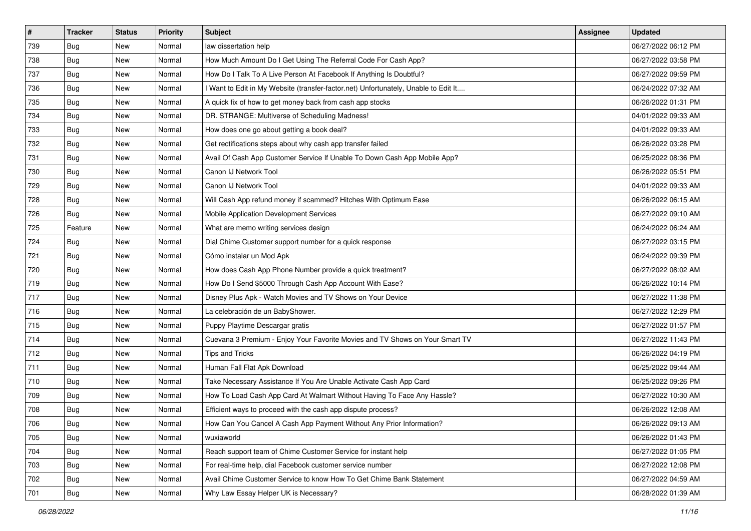| $\vert$ # | <b>Tracker</b> | <b>Status</b> | <b>Priority</b> | Subject                                                                             | <b>Assignee</b> | <b>Updated</b>      |
|-----------|----------------|---------------|-----------------|-------------------------------------------------------------------------------------|-----------------|---------------------|
| 739       | <b>Bug</b>     | New           | Normal          | law dissertation help                                                               |                 | 06/27/2022 06:12 PM |
| 738       | Bug            | New           | Normal          | How Much Amount Do I Get Using The Referral Code For Cash App?                      |                 | 06/27/2022 03:58 PM |
| 737       | <b>Bug</b>     | New           | Normal          | How Do I Talk To A Live Person At Facebook If Anything Is Doubtful?                 |                 | 06/27/2022 09:59 PM |
| 736       | <b>Bug</b>     | New           | Normal          | I Want to Edit in My Website (transfer-factor.net) Unfortunately, Unable to Edit It |                 | 06/24/2022 07:32 AM |
| 735       | Bug            | New           | Normal          | A quick fix of how to get money back from cash app stocks                           |                 | 06/26/2022 01:31 PM |
| 734       | <b>Bug</b>     | New           | Normal          | DR. STRANGE: Multiverse of Scheduling Madness!                                      |                 | 04/01/2022 09:33 AM |
| 733       | <b>Bug</b>     | New           | Normal          | How does one go about getting a book deal?                                          |                 | 04/01/2022 09:33 AM |
| 732       | Bug            | New           | Normal          | Get rectifications steps about why cash app transfer failed                         |                 | 06/26/2022 03:28 PM |
| 731       | <b>Bug</b>     | New           | Normal          | Avail Of Cash App Customer Service If Unable To Down Cash App Mobile App?           |                 | 06/25/2022 08:36 PM |
| 730       | Bug            | New           | Normal          | Canon IJ Network Tool                                                               |                 | 06/26/2022 05:51 PM |
| 729       | Bug            | New           | Normal          | Canon IJ Network Tool                                                               |                 | 04/01/2022 09:33 AM |
| 728       | Bug            | New           | Normal          | Will Cash App refund money if scammed? Hitches With Optimum Ease                    |                 | 06/26/2022 06:15 AM |
| 726       | <b>Bug</b>     | New           | Normal          | Mobile Application Development Services                                             |                 | 06/27/2022 09:10 AM |
| 725       | Feature        | New           | Normal          | What are memo writing services design                                               |                 | 06/24/2022 06:24 AM |
| 724       | Bug            | New           | Normal          | Dial Chime Customer support number for a quick response                             |                 | 06/27/2022 03:15 PM |
| 721       | <b>Bug</b>     | New           | Normal          | Cómo instalar un Mod Apk                                                            |                 | 06/24/2022 09:39 PM |
| 720       | <b>Bug</b>     | New           | Normal          | How does Cash App Phone Number provide a quick treatment?                           |                 | 06/27/2022 08:02 AM |
| 719       | Bug            | New           | Normal          | How Do I Send \$5000 Through Cash App Account With Ease?                            |                 | 06/26/2022 10:14 PM |
| 717       | <b>Bug</b>     | New           | Normal          | Disney Plus Apk - Watch Movies and TV Shows on Your Device                          |                 | 06/27/2022 11:38 PM |
| 716       | <b>Bug</b>     | New           | Normal          | La celebración de un BabyShower.                                                    |                 | 06/27/2022 12:29 PM |
| 715       | <b>Bug</b>     | New           | Normal          | Puppy Playtime Descargar gratis                                                     |                 | 06/27/2022 01:57 PM |
| 714       | <b>Bug</b>     | New           | Normal          | Cuevana 3 Premium - Enjoy Your Favorite Movies and TV Shows on Your Smart TV        |                 | 06/27/2022 11:43 PM |
| 712       | Bug            | New           | Normal          | <b>Tips and Tricks</b>                                                              |                 | 06/26/2022 04:19 PM |
| 711       | <b>Bug</b>     | New           | Normal          | Human Fall Flat Apk Download                                                        |                 | 06/25/2022 09:44 AM |
| 710       | Bug            | New           | Normal          | Take Necessary Assistance If You Are Unable Activate Cash App Card                  |                 | 06/25/2022 09:26 PM |
| 709       | <b>Bug</b>     | New           | Normal          | How To Load Cash App Card At Walmart Without Having To Face Any Hassle?             |                 | 06/27/2022 10:30 AM |
| 708       | <b>Bug</b>     | New           | Normal          | Efficient ways to proceed with the cash app dispute process?                        |                 | 06/26/2022 12:08 AM |
| 706       | Bug            | New           | Normal          | How Can You Cancel A Cash App Payment Without Any Prior Information?                |                 | 06/26/2022 09:13 AM |
| 705       | Bug            | New           | Normal          | wuxiaworld                                                                          |                 | 06/26/2022 01:43 PM |
| 704       | <b>Bug</b>     | New           | Normal          | Reach support team of Chime Customer Service for instant help                       |                 | 06/27/2022 01:05 PM |
| 703       | Bug            | New           | Normal          | For real-time help, dial Facebook customer service number                           |                 | 06/27/2022 12:08 PM |
| 702       | <b>Bug</b>     | New           | Normal          | Avail Chime Customer Service to know How To Get Chime Bank Statement                |                 | 06/27/2022 04:59 AM |
| 701       | <b>Bug</b>     | New           | Normal          | Why Law Essay Helper UK is Necessary?                                               |                 | 06/28/2022 01:39 AM |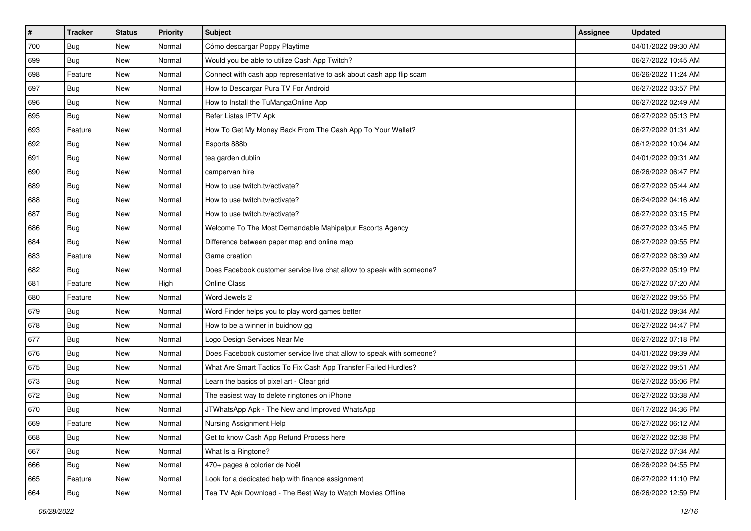| $\sharp$ | <b>Tracker</b> | <b>Status</b> | <b>Priority</b> | Subject                                                               | <b>Assignee</b> | <b>Updated</b>      |
|----------|----------------|---------------|-----------------|-----------------------------------------------------------------------|-----------------|---------------------|
| 700      | Bug            | New           | Normal          | Cómo descargar Poppy Playtime                                         |                 | 04/01/2022 09:30 AM |
| 699      | <b>Bug</b>     | New           | Normal          | Would you be able to utilize Cash App Twitch?                         |                 | 06/27/2022 10:45 AM |
| 698      | Feature        | New           | Normal          | Connect with cash app representative to ask about cash app flip scam  |                 | 06/26/2022 11:24 AM |
| 697      | Bug            | New           | Normal          | How to Descargar Pura TV For Android                                  |                 | 06/27/2022 03:57 PM |
| 696      | Bug            | New           | Normal          | How to Install the TuMangaOnline App                                  |                 | 06/27/2022 02:49 AM |
| 695      | <b>Bug</b>     | New           | Normal          | Refer Listas IPTV Apk                                                 |                 | 06/27/2022 05:13 PM |
| 693      | Feature        | New           | Normal          | How To Get My Money Back From The Cash App To Your Wallet?            |                 | 06/27/2022 01:31 AM |
| 692      | Bug            | New           | Normal          | Esports 888b                                                          |                 | 06/12/2022 10:04 AM |
| 691      | Bug            | New           | Normal          | tea garden dublin                                                     |                 | 04/01/2022 09:31 AM |
| 690      | Bug            | New           | Normal          | campervan hire                                                        |                 | 06/26/2022 06:47 PM |
| 689      | <b>Bug</b>     | New           | Normal          | How to use twitch.tv/activate?                                        |                 | 06/27/2022 05:44 AM |
| 688      | Bug            | New           | Normal          | How to use twitch.tv/activate?                                        |                 | 06/24/2022 04:16 AM |
| 687      | Bug            | New           | Normal          | How to use twitch.tv/activate?                                        |                 | 06/27/2022 03:15 PM |
| 686      | Bug            | New           | Normal          | Welcome To The Most Demandable Mahipalpur Escorts Agency              |                 | 06/27/2022 03:45 PM |
| 684      | <b>Bug</b>     | New           | Normal          | Difference between paper map and online map                           |                 | 06/27/2022 09:55 PM |
| 683      | Feature        | New           | Normal          | Game creation                                                         |                 | 06/27/2022 08:39 AM |
| 682      | <b>Bug</b>     | New           | Normal          | Does Facebook customer service live chat allow to speak with someone? |                 | 06/27/2022 05:19 PM |
| 681      | Feature        | New           | High            | <b>Online Class</b>                                                   |                 | 06/27/2022 07:20 AM |
| 680      | Feature        | New           | Normal          | Word Jewels 2                                                         |                 | 06/27/2022 09:55 PM |
| 679      | Bug            | New           | Normal          | Word Finder helps you to play word games better                       |                 | 04/01/2022 09:34 AM |
| 678      | <b>Bug</b>     | New           | Normal          | How to be a winner in buidnow gg                                      |                 | 06/27/2022 04:47 PM |
| 677      | Bug            | New           | Normal          | Logo Design Services Near Me                                          |                 | 06/27/2022 07:18 PM |
| 676      | Bug            | New           | Normal          | Does Facebook customer service live chat allow to speak with someone? |                 | 04/01/2022 09:39 AM |
| 675      | <b>Bug</b>     | New           | Normal          | What Are Smart Tactics To Fix Cash App Transfer Failed Hurdles?       |                 | 06/27/2022 09:51 AM |
| 673      | Bug            | New           | Normal          | Learn the basics of pixel art - Clear grid                            |                 | 06/27/2022 05:06 PM |
| 672      | Bug            | New           | Normal          | The easiest way to delete ringtones on iPhone                         |                 | 06/27/2022 03:38 AM |
| 670      | <b>Bug</b>     | New           | Normal          | JTWhatsApp Apk - The New and Improved WhatsApp                        |                 | 06/17/2022 04:36 PM |
| 669      | Feature        | New           | Normal          | Nursing Assignment Help                                               |                 | 06/27/2022 06:12 AM |
| 668      | <b>Bug</b>     | New           | Normal          | Get to know Cash App Refund Process here                              |                 | 06/27/2022 02:38 PM |
| 667      | <b>Bug</b>     | New           | Normal          | What Is a Ringtone?                                                   |                 | 06/27/2022 07:34 AM |
| 666      | <b>Bug</b>     | New           | Normal          | 470+ pages à colorier de Noël                                         |                 | 06/26/2022 04:55 PM |
| 665      | Feature        | New           | Normal          | Look for a dedicated help with finance assignment                     |                 | 06/27/2022 11:10 PM |
| 664      | <b>Bug</b>     | New           | Normal          | Tea TV Apk Download - The Best Way to Watch Movies Offline            |                 | 06/26/2022 12:59 PM |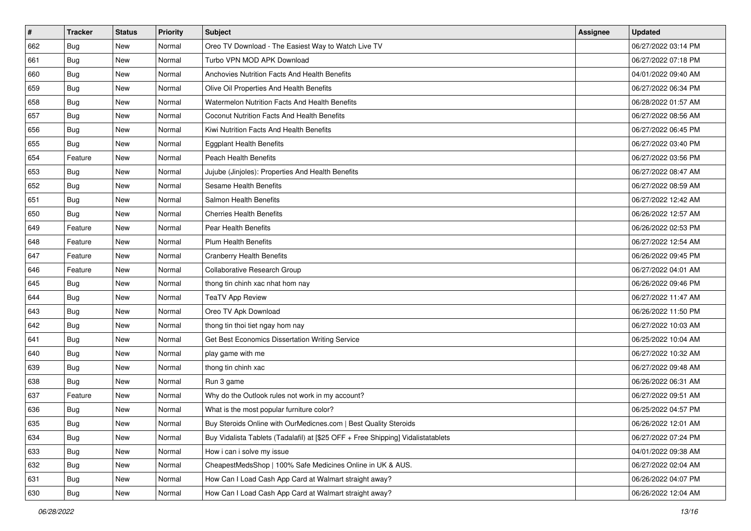| $\sharp$ | <b>Tracker</b> | <b>Status</b> | <b>Priority</b> | Subject                                                                          | <b>Assignee</b> | <b>Updated</b>      |
|----------|----------------|---------------|-----------------|----------------------------------------------------------------------------------|-----------------|---------------------|
| 662      | <b>Bug</b>     | New           | Normal          | Oreo TV Download - The Easiest Way to Watch Live TV                              |                 | 06/27/2022 03:14 PM |
| 661      | Bug            | New           | Normal          | Turbo VPN MOD APK Download                                                       |                 | 06/27/2022 07:18 PM |
| 660      | Bug            | New           | Normal          | Anchovies Nutrition Facts And Health Benefits                                    |                 | 04/01/2022 09:40 AM |
| 659      | <b>Bug</b>     | New           | Normal          | Olive Oil Properties And Health Benefits                                         |                 | 06/27/2022 06:34 PM |
| 658      | Bug            | New           | Normal          | <b>Watermelon Nutrition Facts And Health Benefits</b>                            |                 | 06/28/2022 01:57 AM |
| 657      | Bug            | New           | Normal          | Coconut Nutrition Facts And Health Benefits                                      |                 | 06/27/2022 08:56 AM |
| 656      | Bug            | New           | Normal          | Kiwi Nutrition Facts And Health Benefits                                         |                 | 06/27/2022 06:45 PM |
| 655      | <b>Bug</b>     | New           | Normal          | <b>Eggplant Health Benefits</b>                                                  |                 | 06/27/2022 03:40 PM |
| 654      | Feature        | New           | Normal          | Peach Health Benefits                                                            |                 | 06/27/2022 03:56 PM |
| 653      | <b>Bug</b>     | New           | Normal          | Jujube (Jinjoles): Properties And Health Benefits                                |                 | 06/27/2022 08:47 AM |
| 652      | <b>Bug</b>     | New           | Normal          | <b>Sesame Health Benefits</b>                                                    |                 | 06/27/2022 08:59 AM |
| 651      | <b>Bug</b>     | New           | Normal          | Salmon Health Benefits                                                           |                 | 06/27/2022 12:42 AM |
| 650      | Bug            | New           | Normal          | <b>Cherries Health Benefits</b>                                                  |                 | 06/26/2022 12:57 AM |
| 649      | Feature        | New           | Normal          | Pear Health Benefits                                                             |                 | 06/26/2022 02:53 PM |
| 648      | Feature        | New           | Normal          | <b>Plum Health Benefits</b>                                                      |                 | 06/27/2022 12:54 AM |
| 647      | Feature        | New           | Normal          | <b>Cranberry Health Benefits</b>                                                 |                 | 06/26/2022 09:45 PM |
| 646      | Feature        | New           | Normal          | Collaborative Research Group                                                     |                 | 06/27/2022 04:01 AM |
| 645      | Bug            | New           | Normal          | thong tin chinh xac nhat hom nay                                                 |                 | 06/26/2022 09:46 PM |
| 644      | <b>Bug</b>     | New           | Normal          | <b>TeaTV App Review</b>                                                          |                 | 06/27/2022 11:47 AM |
| 643      | Bug            | New           | Normal          | Oreo TV Apk Download                                                             |                 | 06/26/2022 11:50 PM |
| 642      | <b>Bug</b>     | New           | Normal          | thong tin thoi tiet ngay hom nay                                                 |                 | 06/27/2022 10:03 AM |
| 641      | Bug            | New           | Normal          | Get Best Economics Dissertation Writing Service                                  |                 | 06/25/2022 10:04 AM |
| 640      | Bug            | New           | Normal          | play game with me                                                                |                 | 06/27/2022 10:32 AM |
| 639      | <b>Bug</b>     | New           | Normal          | thong tin chinh xac                                                              |                 | 06/27/2022 09:48 AM |
| 638      | Bug            | New           | Normal          | Run 3 game                                                                       |                 | 06/26/2022 06:31 AM |
| 637      | Feature        | New           | Normal          | Why do the Outlook rules not work in my account?                                 |                 | 06/27/2022 09:51 AM |
| 636      | Bug            | New           | Normal          | What is the most popular furniture color?                                        |                 | 06/25/2022 04:57 PM |
| 635      | <b>Bug</b>     | New           | Normal          | Buy Steroids Online with OurMedicnes.com   Best Quality Steroids                 |                 | 06/26/2022 12:01 AM |
| 634      | Bug            | New           | Normal          | Buy Vidalista Tablets (Tadalafil) at [\$25 OFF + Free Shipping] Vidalistatablets |                 | 06/27/2022 07:24 PM |
| 633      | <b>Bug</b>     | New           | Normal          | How i can i solve my issue                                                       |                 | 04/01/2022 09:38 AM |
| 632      | Bug            | New           | Normal          | CheapestMedsShop   100% Safe Medicines Online in UK & AUS.                       |                 | 06/27/2022 02:04 AM |
| 631      | Bug            | New           | Normal          | How Can I Load Cash App Card at Walmart straight away?                           |                 | 06/26/2022 04:07 PM |
| 630      | <b>Bug</b>     | New           | Normal          | How Can I Load Cash App Card at Walmart straight away?                           |                 | 06/26/2022 12:04 AM |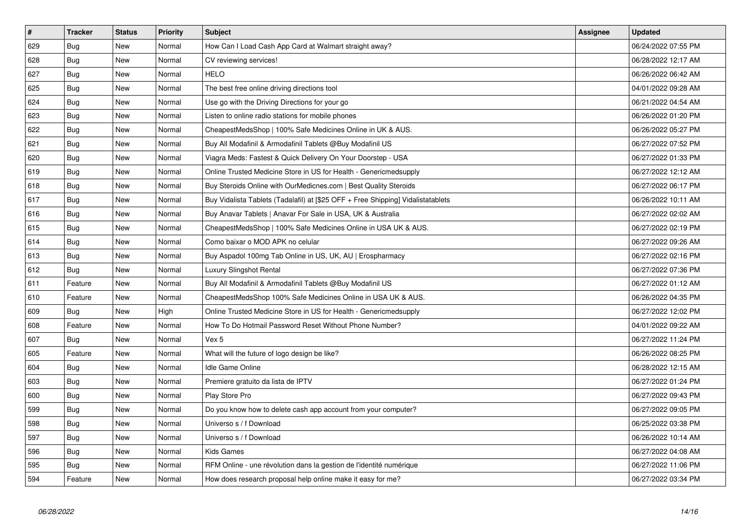| $\vert$ # | <b>Tracker</b> | <b>Status</b> | Priority | <b>Subject</b>                                                                   | <b>Assignee</b> | <b>Updated</b>      |
|-----------|----------------|---------------|----------|----------------------------------------------------------------------------------|-----------------|---------------------|
| 629       | <b>Bug</b>     | <b>New</b>    | Normal   | How Can I Load Cash App Card at Walmart straight away?                           |                 | 06/24/2022 07:55 PM |
| 628       | <b>Bug</b>     | <b>New</b>    | Normal   | CV reviewing services!                                                           |                 | 06/28/2022 12:17 AM |
| 627       | Bug            | <b>New</b>    | Normal   | <b>HELO</b>                                                                      |                 | 06/26/2022 06:42 AM |
| 625       | <b>Bug</b>     | <b>New</b>    | Normal   | The best free online driving directions tool                                     |                 | 04/01/2022 09:28 AM |
| 624       | <b>Bug</b>     | <b>New</b>    | Normal   | Use go with the Driving Directions for your go                                   |                 | 06/21/2022 04:54 AM |
| 623       | Bug            | <b>New</b>    | Normal   | Listen to online radio stations for mobile phones                                |                 | 06/26/2022 01:20 PM |
| 622       | Bug            | New           | Normal   | CheapestMedsShop   100% Safe Medicines Online in UK & AUS.                       |                 | 06/26/2022 05:27 PM |
| 621       | <b>Bug</b>     | <b>New</b>    | Normal   | Buy All Modafinil & Armodafinil Tablets @Buy Modafinil US                        |                 | 06/27/2022 07:52 PM |
| 620       | Bug            | New           | Normal   | Viagra Meds: Fastest & Quick Delivery On Your Doorstep - USA                     |                 | 06/27/2022 01:33 PM |
| 619       | <b>Bug</b>     | New           | Normal   | Online Trusted Medicine Store in US for Health - Genericmedsupply                |                 | 06/27/2022 12:12 AM |
| 618       | <b>Bug</b>     | New           | Normal   | Buy Steroids Online with OurMedicnes.com   Best Quality Steroids                 |                 | 06/27/2022 06:17 PM |
| 617       | Bug            | <b>New</b>    | Normal   | Buy Vidalista Tablets (Tadalafil) at [\$25 OFF + Free Shipping] Vidalistatablets |                 | 06/26/2022 10:11 AM |
| 616       | <b>Bug</b>     | New           | Normal   | Buy Anavar Tablets   Anavar For Sale in USA, UK & Australia                      |                 | 06/27/2022 02:02 AM |
| 615       | Bug            | New           | Normal   | CheapestMedsShop   100% Safe Medicines Online in USA UK & AUS.                   |                 | 06/27/2022 02:19 PM |
| 614       | Bug            | New           | Normal   | Como baixar o MOD APK no celular                                                 |                 | 06/27/2022 09:26 AM |
| 613       | Bug            | New           | Normal   | Buy Aspadol 100mg Tab Online in US, UK, AU   Erospharmacy                        |                 | 06/27/2022 02:16 PM |
| 612       | Bug            | New           | Normal   | Luxury Slingshot Rental                                                          |                 | 06/27/2022 07:36 PM |
| 611       | Feature        | New           | Normal   | Buy All Modafinil & Armodafinil Tablets @Buy Modafinil US                        |                 | 06/27/2022 01:12 AM |
| 610       | Feature        | New           | Normal   | CheapestMedsShop 100% Safe Medicines Online in USA UK & AUS.                     |                 | 06/26/2022 04:35 PM |
| 609       | Bug            | New           | High     | Online Trusted Medicine Store in US for Health - Genericmedsupply                |                 | 06/27/2022 12:02 PM |
| 608       | Feature        | <b>New</b>    | Normal   | How To Do Hotmail Password Reset Without Phone Number?                           |                 | 04/01/2022 09:22 AM |
| 607       | Bug            | <b>New</b>    | Normal   | Vex 5                                                                            |                 | 06/27/2022 11:24 PM |
| 605       | Feature        | New           | Normal   | What will the future of logo design be like?                                     |                 | 06/26/2022 08:25 PM |
| 604       | Bug            | <b>New</b>    | Normal   | <b>Idle Game Online</b>                                                          |                 | 06/28/2022 12:15 AM |
| 603       | Bug            | <b>New</b>    | Normal   | Premiere gratuito da lista de IPTV                                               |                 | 06/27/2022 01:24 PM |
| 600       | Bug            | New           | Normal   | Play Store Pro                                                                   |                 | 06/27/2022 09:43 PM |
| 599       | <b>Bug</b>     | <b>New</b>    | Normal   | Do you know how to delete cash app account from your computer?                   |                 | 06/27/2022 09:05 PM |
| 598       | <b>Bug</b>     | New           | Normal   | Universo s / f Download                                                          |                 | 06/25/2022 03:38 PM |
| 597       | <b>Bug</b>     | <b>New</b>    | Normal   | Universo s / f Download                                                          |                 | 06/26/2022 10:14 AM |
| 596       | Bug            | <b>New</b>    | Normal   | Kids Games                                                                       |                 | 06/27/2022 04:08 AM |
| 595       | Bug            | New           | Normal   | RFM Online - une révolution dans la gestion de l'identité numérique              |                 | 06/27/2022 11:06 PM |
| 594       | Feature        | New           | Normal   | How does research proposal help online make it easy for me?                      |                 | 06/27/2022 03:34 PM |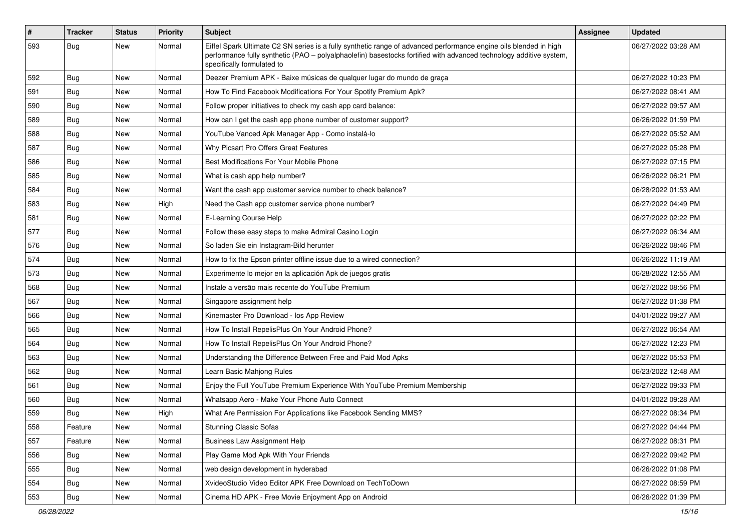| #   | <b>Tracker</b> | <b>Status</b> | <b>Priority</b> | Subject                                                                                                                                                                                                                                                               | <b>Assignee</b> | <b>Updated</b>      |
|-----|----------------|---------------|-----------------|-----------------------------------------------------------------------------------------------------------------------------------------------------------------------------------------------------------------------------------------------------------------------|-----------------|---------------------|
| 593 | <b>Bug</b>     | New           | Normal          | Eiffel Spark Ultimate C2 SN series is a fully synthetic range of advanced performance engine oils blended in high<br>performance fully synthetic (PAO - polyalphaolefin) basestocks fortified with advanced technology additive system,<br>specifically formulated to |                 | 06/27/2022 03:28 AM |
| 592 | Bug            | New           | Normal          | Deezer Premium APK - Baixe músicas de qualquer lugar do mundo de graça                                                                                                                                                                                                |                 | 06/27/2022 10:23 PM |
| 591 | <b>Bug</b>     | New           | Normal          | How To Find Facebook Modifications For Your Spotify Premium Apk?                                                                                                                                                                                                      |                 | 06/27/2022 08:41 AM |
| 590 | Bug            | New           | Normal          | Follow proper initiatives to check my cash app card balance:                                                                                                                                                                                                          |                 | 06/27/2022 09:57 AM |
| 589 | <b>Bug</b>     | New           | Normal          | How can I get the cash app phone number of customer support?                                                                                                                                                                                                          |                 | 06/26/2022 01:59 PM |
| 588 | Bug            | New           | Normal          | YouTube Vanced Apk Manager App - Como instalá-lo                                                                                                                                                                                                                      |                 | 06/27/2022 05:52 AM |
| 587 | <b>Bug</b>     | New           | Normal          | Why Picsart Pro Offers Great Features                                                                                                                                                                                                                                 |                 | 06/27/2022 05:28 PM |
| 586 | <b>Bug</b>     | New           | Normal          | Best Modifications For Your Mobile Phone                                                                                                                                                                                                                              |                 | 06/27/2022 07:15 PM |
| 585 | Bug            | New           | Normal          | What is cash app help number?                                                                                                                                                                                                                                         |                 | 06/26/2022 06:21 PM |
| 584 | <b>Bug</b>     | New           | Normal          | Want the cash app customer service number to check balance?                                                                                                                                                                                                           |                 | 06/28/2022 01:53 AM |
| 583 | Bug            | New           | High            | Need the Cash app customer service phone number?                                                                                                                                                                                                                      |                 | 06/27/2022 04:49 PM |
| 581 | <b>Bug</b>     | New           | Normal          | E-Learning Course Help                                                                                                                                                                                                                                                |                 | 06/27/2022 02:22 PM |
| 577 | Bug            | New           | Normal          | Follow these easy steps to make Admiral Casino Login                                                                                                                                                                                                                  |                 | 06/27/2022 06:34 AM |
| 576 | <b>Bug</b>     | New           | Normal          | So laden Sie ein Instagram-Bild herunter                                                                                                                                                                                                                              |                 | 06/26/2022 08:46 PM |
| 574 | <b>Bug</b>     | New           | Normal          | How to fix the Epson printer offline issue due to a wired connection?                                                                                                                                                                                                 |                 | 06/26/2022 11:19 AM |
| 573 | <b>Bug</b>     | New           | Normal          | Experimente lo mejor en la aplicación Apk de juegos gratis                                                                                                                                                                                                            |                 | 06/28/2022 12:55 AM |
| 568 | <b>Bug</b>     | New           | Normal          | Instale a versão mais recente do YouTube Premium                                                                                                                                                                                                                      |                 | 06/27/2022 08:56 PM |
| 567 | <b>Bug</b>     | New           | Normal          | Singapore assignment help                                                                                                                                                                                                                                             |                 | 06/27/2022 01:38 PM |
| 566 | Bug            | New           | Normal          | Kinemaster Pro Download - los App Review                                                                                                                                                                                                                              |                 | 04/01/2022 09:27 AM |
| 565 | Bug            | New           | Normal          | How To Install RepelisPlus On Your Android Phone?                                                                                                                                                                                                                     |                 | 06/27/2022 06:54 AM |
| 564 | <b>Bug</b>     | New           | Normal          | How To Install RepelisPlus On Your Android Phone?                                                                                                                                                                                                                     |                 | 06/27/2022 12:23 PM |
| 563 | Bug            | New           | Normal          | Understanding the Difference Between Free and Paid Mod Apks                                                                                                                                                                                                           |                 | 06/27/2022 05:53 PM |
| 562 | <b>Bug</b>     | New           | Normal          | Learn Basic Mahjong Rules                                                                                                                                                                                                                                             |                 | 06/23/2022 12:48 AM |
| 561 | <b>Bug</b>     | New           | Normal          | Enjoy the Full YouTube Premium Experience With YouTube Premium Membership                                                                                                                                                                                             |                 | 06/27/2022 09:33 PM |
| 560 | <b>Bug</b>     | New           | Normal          | Whatsapp Aero - Make Your Phone Auto Connect                                                                                                                                                                                                                          |                 | 04/01/2022 09:28 AM |
| 559 | Bug            | New           | High            | What Are Permission For Applications like Facebook Sending MMS?                                                                                                                                                                                                       |                 | 06/27/2022 08:34 PM |
| 558 | Feature        | New           | Normal          | <b>Stunning Classic Sofas</b>                                                                                                                                                                                                                                         |                 | 06/27/2022 04:44 PM |
| 557 | Feature        | New           | Normal          | <b>Business Law Assignment Help</b>                                                                                                                                                                                                                                   |                 | 06/27/2022 08:31 PM |
| 556 | Bug            | New           | Normal          | Play Game Mod Apk With Your Friends                                                                                                                                                                                                                                   |                 | 06/27/2022 09:42 PM |
| 555 | Bug            | New           | Normal          | web design development in hyderabad                                                                                                                                                                                                                                   |                 | 06/26/2022 01:08 PM |
| 554 | <b>Bug</b>     | New           | Normal          | XvideoStudio Video Editor APK Free Download on TechToDown                                                                                                                                                                                                             |                 | 06/27/2022 08:59 PM |
| 553 | Bug            | New           | Normal          | Cinema HD APK - Free Movie Enjoyment App on Android                                                                                                                                                                                                                   |                 | 06/26/2022 01:39 PM |